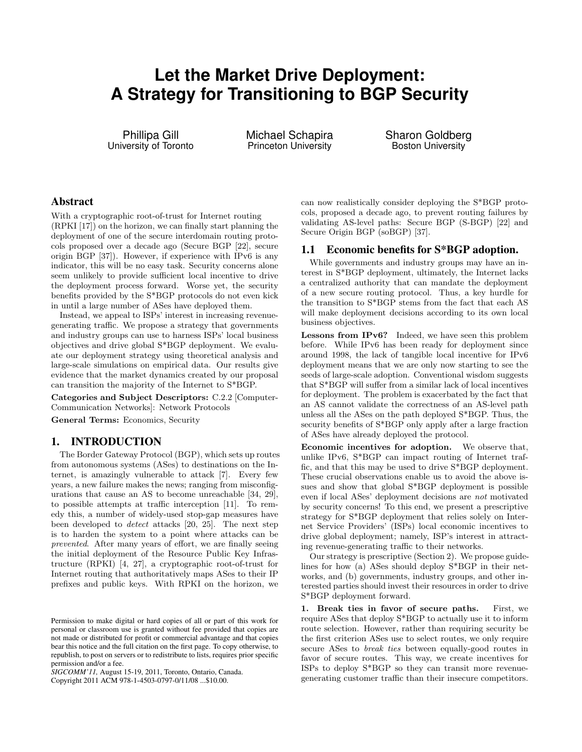# **Let the Market Drive Deployment: A Strategy for Transitioning to BGP Security**

Phillipa Gill University of Toronto Michael Schapira Princeton University

Sharon Goldberg Boston University

# Abstract

With a cryptographic root-of-trust for Internet routing (RPKI [17]) on the horizon, we can finally start planning the deployment of one of the secure interdomain routing protocols proposed over a decade ago (Secure BGP [22], secure origin BGP [37]). However, if experience with IPv6 is any indicator, this will be no easy task. Security concerns alone seem unlikely to provide sufficient local incentive to drive the deployment process forward. Worse yet, the security benefits provided by the S\*BGP protocols do not even kick in until a large number of ASes have deployed them.

Instead, we appeal to ISPs' interest in increasing revenuegenerating traffic. We propose a strategy that governments and industry groups can use to harness ISPs' local business objectives and drive global S\*BGP deployment. We evaluate our deployment strategy using theoretical analysis and large-scale simulations on empirical data. Our results give evidence that the market dynamics created by our proposal can transition the majority of the Internet to S\*BGP.

Categories and Subject Descriptors: C.2.2 [Computer-Communication Networks]: Network Protocols

General Terms: Economics, Security

#### 1. INTRODUCTION

The Border Gateway Protocol (BGP), which sets up routes from autonomous systems (ASes) to destinations on the Internet, is amazingly vulnerable to attack [7]. Every few years, a new failure makes the news; ranging from misconfigurations that cause an AS to become unreachable [34, 29], to possible attempts at traffic interception [11]. To remedy this, a number of widely-used stop-gap measures have been developed to detect attacks [20, 25]. The next step is to harden the system to a point where attacks can be prevented. After many years of effort, we are finally seeing the initial deployment of the Resource Public Key Infrastructure (RPKI) [4, 27], a cryptographic root-of-trust for Internet routing that authoritatively maps ASes to their IP prefixes and public keys. With RPKI on the horizon, we

*SIGCOMM'11,* August 15-19, 2011, Toronto, Ontario, Canada.

Copyright 2011 ACM 978-1-4503-0797-0/11/08 ...\$10.00.

can now realistically consider deploying the S\*BGP protocols, proposed a decade ago, to prevent routing failures by validating AS-level paths: Secure BGP (S-BGP) [22] and Secure Origin BGP (soBGP) [37].

#### 1.1 Economic benefits for S\*BGP adoption.

While governments and industry groups may have an interest in S\*BGP deployment, ultimately, the Internet lacks a centralized authority that can mandate the deployment of a new secure routing protocol. Thus, a key hurdle for the transition to S\*BGP stems from the fact that each AS will make deployment decisions according to its own local business objectives.

Lessons from IPv6? Indeed, we have seen this problem before. While IPv6 has been ready for deployment since around 1998, the lack of tangible local incentive for IPv6 deployment means that we are only now starting to see the seeds of large-scale adoption. Conventional wisdom suggests that S\*BGP will suffer from a similar lack of local incentives for deployment. The problem is exacerbated by the fact that an AS cannot validate the correctness of an AS-level path unless all the ASes on the path deployed S\*BGP. Thus, the security benefits of S\*BGP only apply after a large fraction of ASes have already deployed the protocol.

Economic incentives for adoption. We observe that, unlike IPv6, S\*BGP can impact routing of Internet traffic, and that this may be used to drive S\*BGP deployment. These crucial observations enable us to avoid the above issues and show that global S\*BGP deployment is possible even if local ASes' deployment decisions are not motivated by security concerns! To this end, we present a prescriptive strategy for S\*BGP deployment that relies solely on Internet Service Providers' (ISPs) local economic incentives to drive global deployment; namely, ISP's interest in attracting revenue-generating traffic to their networks.

Our strategy is prescriptive (Section 2). We propose guidelines for how (a) ASes should deploy S\*BGP in their networks, and (b) governments, industry groups, and other interested parties should invest their resources in order to drive S\*BGP deployment forward.

1. Break ties in favor of secure paths. First, we require ASes that deploy S\*BGP to actually use it to inform route selection. However, rather than requiring security be the first criterion ASes use to select routes, we only require secure ASes to break ties between equally-good routes in favor of secure routes. This way, we create incentives for ISPs to deploy S\*BGP so they can transit more revenuegenerating customer traffic than their insecure competitors.

Permission to make digital or hard copies of all or part of this work for personal or classroom use is granted without fee provided that copies are not made or distributed for profit or commercial advantage and that copies bear this notice and the full citation on the first page. To copy otherwise, to republish, to post on servers or to redistribute to lists, requires prior specific permission and/or a fee.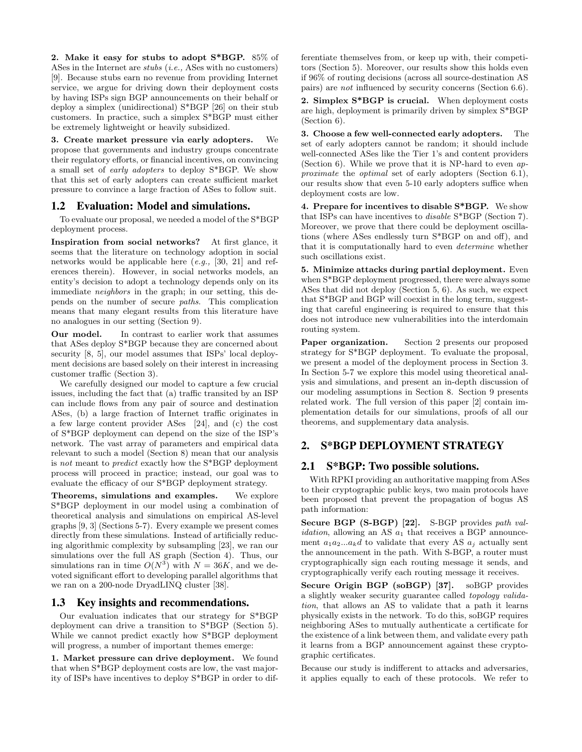2. Make it easy for stubs to adopt S\*BGP. 85% of ASes in the Internet are stubs (i.e., ASes with no customers) [9]. Because stubs earn no revenue from providing Internet service, we argue for driving down their deployment costs by having ISPs sign BGP announcements on their behalf or deploy a simplex (unidirectional) S\*BGP [26] on their stub customers. In practice, such a simplex S\*BGP must either be extremely lightweight or heavily subsidized.

3. Create market pressure via early adopters. We propose that governments and industry groups concentrate their regulatory efforts, or financial incentives, on convincing a small set of early adopters to deploy S\*BGP. We show that this set of early adopters can create sufficient market pressure to convince a large fraction of ASes to follow suit.

#### 1.2 Evaluation: Model and simulations.

To evaluate our proposal, we needed a model of the S\*BGP deployment process.

Inspiration from social networks? At first glance, it seems that the literature on technology adoption in social networks would be applicable here (e.g., [30, 21] and references therein). However, in social networks models, an entity's decision to adopt a technology depends only on its immediate neighbors in the graph; in our setting, this depends on the number of secure paths. This complication means that many elegant results from this literature have no analogues in our setting (Section 9).

Our model. In contrast to earlier work that assumes that ASes deploy S\*BGP because they are concerned about security [8, 5], our model assumes that ISPs' local deployment decisions are based solely on their interest in increasing customer traffic (Section 3).

We carefully designed our model to capture a few crucial issues, including the fact that (a) traffic transited by an ISP can include flows from any pair of source and destination ASes, (b) a large fraction of Internet traffic originates in a few large content provider ASes [24], and (c) the cost of S\*BGP deployment can depend on the size of the ISP's network. The vast array of parameters and empirical data relevant to such a model (Section 8) mean that our analysis is not meant to predict exactly how the S\*BGP deployment process will proceed in practice; instead, our goal was to evaluate the efficacy of our S\*BGP deployment strategy.

Theorems, simulations and examples. We explore S\*BGP deployment in our model using a combination of theoretical analysis and simulations on empirical AS-level graphs [9, 3] (Sections 5-7). Every example we present comes directly from these simulations. Instead of artificially reducing algorithmic complexity by subsampling [23], we ran our simulations over the full AS graph (Section 4). Thus, our simulations ran in time  $O(N^3)$  with  $N = 36K$ , and we devoted significant effort to developing parallel algorithms that we ran on a 200-node DryadLINQ cluster [38].

#### 1.3 Key insights and recommendations.

Our evaluation indicates that our strategy for S\*BGP deployment can drive a transition to S\*BGP (Section 5). While we cannot predict exactly how S\*BGP deployment will progress, a number of important themes emerge:

1. Market pressure can drive deployment. We found that when S\*BGP deployment costs are low, the vast majority of ISPs have incentives to deploy S\*BGP in order to differentiate themselves from, or keep up with, their competitors (Section 5). Moreover, our results show this holds even if 96% of routing decisions (across all source-destination AS pairs) are not influenced by security concerns (Section 6.6).

2. Simplex S\*BGP is crucial. When deployment costs are high, deployment is primarily driven by simplex S\*BGP (Section 6).

3. Choose a few well-connected early adopters. The set of early adopters cannot be random; it should include well-connected ASes like the Tier 1's and content providers (Section 6). While we prove that it is NP-hard to even approximate the optimal set of early adopters (Section 6.1), our results show that even 5-10 early adopters suffice when deployment costs are low.

4. Prepare for incentives to disable S\*BGP. We show that ISPs can have incentives to disable S\*BGP (Section 7). Moreover, we prove that there could be deployment oscillations (where ASes endlessly turn S\*BGP on and off), and that it is computationally hard to even determine whether such oscillations exist.

5. Minimize attacks during partial deployment. Even when S\*BGP deployment progressed, there were always some ASes that did not deploy (Section 5, 6). As such, we expect that S\*BGP and BGP will coexist in the long term, suggesting that careful engineering is required to ensure that this does not introduce new vulnerabilities into the interdomain routing system.

Paper organization. Section 2 presents our proposed strategy for S\*BGP deployment. To evaluate the proposal, we present a model of the deployment process in Section 3. In Section 5-7 we explore this model using theoretical analysis and simulations, and present an in-depth discussion of our modeling assumptions in Section 8. Section 9 presents related work. The full version of this paper [2] contain implementation details for our simulations, proofs of all our theorems, and supplementary data analysis.

# 2. S\*BGP DEPLOYMENT STRATEGY

# 2.1 S\*BGP: Two possible solutions.

With RPKI providing an authoritative mapping from ASes to their cryptographic public keys, two main protocols have been proposed that prevent the propagation of bogus AS path information:

Secure BGP (S-BGP) [22]. S-BGP provides path val*idation*, allowing an AS  $a_1$  that receives a BGP announcement  $a_1a_2...a_kd$  to validate that every AS  $a_j$  actually sent the announcement in the path. With S-BGP, a router must cryptographically sign each routing message it sends, and cryptographically verify each routing message it receives.

Secure Origin BGP (soBGP) [37]. soBGP provides a slightly weaker security guarantee called topology validation, that allows an AS to validate that a path it learns physically exists in the network. To do this, soBGP requires neighboring ASes to mutually authenticate a certificate for the existence of a link between them, and validate every path it learns from a BGP announcement against these cryptographic certificates.

Because our study is indifferent to attacks and adversaries, it applies equally to each of these protocols. We refer to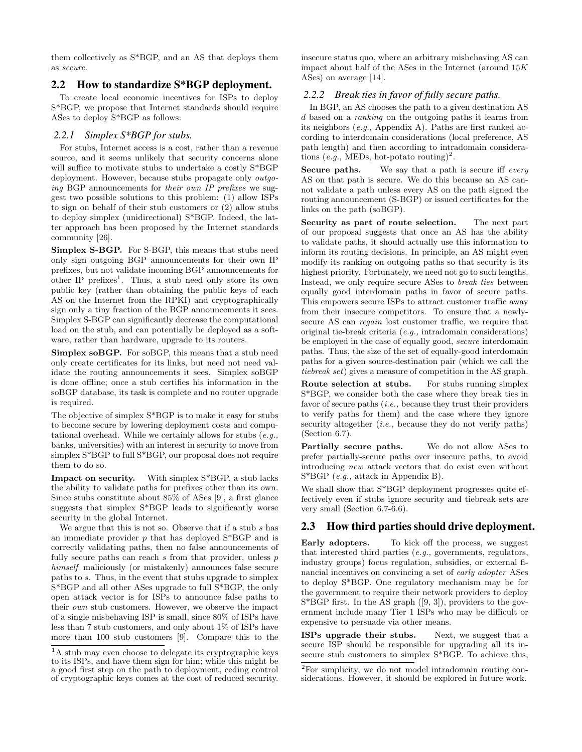them collectively as S\*BGP, and an AS that deploys them as secure.

## 2.2 How to standardize S\*BGP deployment.

To create local economic incentives for ISPs to deploy S\*BGP, we propose that Internet standards should require ASes to deploy S\*BGP as follows:

#### *2.2.1 Simplex S\*BGP for stubs.*

For stubs, Internet access is a cost, rather than a revenue source, and it seems unlikely that security concerns alone will suffice to motivate stubs to undertake a costly S\*BGP deployment. However, because stubs propagate only *outgo*ing BGP announcements for their own IP prefixes we suggest two possible solutions to this problem: (1) allow ISPs to sign on behalf of their stub customers or (2) allow stubs to deploy simplex (unidirectional) S\*BGP. Indeed, the latter approach has been proposed by the Internet standards community [26].

Simplex S-BGP. For S-BGP, this means that stubs need only sign outgoing BGP announcements for their own IP prefixes, but not validate incoming BGP announcements for other IP prefixes<sup>1</sup>. Thus, a stub need only store its own public key (rather than obtaining the public keys of each AS on the Internet from the RPKI) and cryptographically sign only a tiny fraction of the BGP announcements it sees. Simplex S-BGP can significantly decrease the computational load on the stub, and can potentially be deployed as a software, rather than hardware, upgrade to its routers.

Simplex soBGP. For soBGP, this means that a stub need only create certificates for its links, but need not need validate the routing announcements it sees. Simplex soBGP is done offline; once a stub certifies his information in the soBGP database, its task is complete and no router upgrade is required.

The objective of simplex S\*BGP is to make it easy for stubs to become secure by lowering deployment costs and computational overhead. While we certainly allows for stubs  $(e.g.,)$ banks, universities) with an interest in security to move from simplex S\*BGP to full S\*BGP, our proposal does not require them to do so.

Impact on security. With simplex S\*BGP, a stub lacks the ability to validate paths for prefixes other than its own. Since stubs constitute about 85% of ASes [9], a first glance suggests that simplex S\*BGP leads to significantly worse security in the global Internet.

We argue that this is not so. Observe that if a stub  $s$  has an immediate provider  $p$  that has deployed  $S*BGP$  and is correctly validating paths, then no false announcements of fully secure paths can reach  $s$  from that provider, unless  $p$ himself maliciously (or mistakenly) announces false secure paths to s. Thus, in the event that stubs upgrade to simplex S\*BGP and all other ASes upgrade to full S\*BGP, the only open attack vector is for ISPs to announce false paths to their own stub customers. However, we observe the impact of a single misbehaving ISP is small, since 80% of ISPs have less than 7 stub customers, and only about 1% of ISPs have more than 100 stub customers [9]. Compare this to the

insecure status quo, where an arbitrary misbehaving AS can impact about half of the ASes in the Internet (around  $15K$ ASes) on average [14].

#### *2.2.2 Break ties in favor of fully secure paths.*

In BGP, an AS chooses the path to a given destination AS d based on a ranking on the outgoing paths it learns from its neighbors (e.g., Appendix A). Paths are first ranked according to interdomain considerations (local preference, AS path length) and then according to intradomain considerations (e.g., MEDs, hot-potato routing)<sup>2</sup>.

Secure paths. We say that a path is secure iff every AS on that path is secure. We do this because an AS cannot validate a path unless every AS on the path signed the routing announcement (S-BGP) or issued certificates for the links on the path (soBGP).

Security as part of route selection. The next part of our proposal suggests that once an AS has the ability to validate paths, it should actually use this information to inform its routing decisions. In principle, an AS might even modify its ranking on outgoing paths so that security is its highest priority. Fortunately, we need not go to such lengths. Instead, we only require secure ASes to break ties between equally good interdomain paths in favor of secure paths. This empowers secure ISPs to attract customer traffic away from their insecure competitors. To ensure that a newlysecure AS can regain lost customer traffic, we require that original tie-break criteria (e.g., intradomain considerations) be employed in the case of equally good, secure interdomain paths. Thus, the size of the set of equally-good interdomain paths for a given source-destination pair (which we call the tiebreak set) gives a measure of competition in the AS graph.

Route selection at stubs. For stubs running simplex S\*BGP, we consider both the case where they break ties in favor of secure paths  $(i.e., because they trust their providers)$ to verify paths for them) and the case where they ignore security altogether  $(i.e.,$  because they do not verify paths) (Section 6.7).

Partially secure paths. We do not allow ASes to prefer partially-secure paths over insecure paths, to avoid introducing new attack vectors that do exist even without S\*BGP (e.g., attack in Appendix B).

We shall show that  $S*BGP$  deployment progresses quite effectively even if stubs ignore security and tiebreak sets are very small (Section 6.7-6.6).

# 2.3 How third parties should drive deployment.

Early adopters. To kick off the process, we suggest that interested third parties (e.g., governments, regulators, industry groups) focus regulation, subsidies, or external financial incentives on convincing a set of early adopter ASes to deploy S\*BGP. One regulatory mechanism may be for the government to require their network providers to deploy S\*BGP first. In the AS graph ([9, 3]), providers to the government include many Tier 1 ISPs who may be difficult or expensive to persuade via other means.

ISPs upgrade their stubs. Next, we suggest that a secure ISP should be responsible for upgrading all its insecure stub customers to simplex S\*BGP. To achieve this,

 $^1\mathrm{A}$  stub may even choose to delegate its cryptographic keys to its ISPs, and have them sign for him; while this might be a good first step on the path to deployment, ceding control of cryptographic keys comes at the cost of reduced security.

<sup>2</sup>For simplicity, we do not model intradomain routing considerations. However, it should be explored in future work.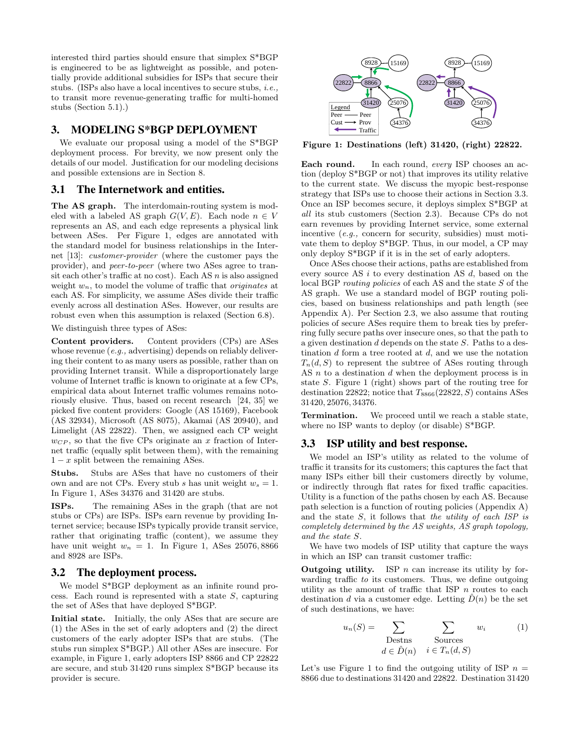interested third parties should ensure that simplex S\*BGP is engineered to be as lightweight as possible, and potentially provide additional subsidies for ISPs that secure their stubs. (ISPs also have a local incentives to secure stubs, i.e., to transit more revenue-generating traffic for multi-homed stubs (Section 5.1).)

## 3. MODELING S\*BGP DEPLOYMENT

We evaluate our proposal using a model of the S\*BGP deployment process. For brevity, we now present only the details of our model. Justification for our modeling decisions and possible extensions are in Section 8.

#### 3.1 The Internetwork and entities.

The AS graph. The interdomain-routing system is modeled with a labeled AS graph  $G(V, E)$ . Each node  $n \in V$ represents an AS, and each edge represents a physical link between ASes. Per Figure 1, edges are annotated with the standard model for business relationships in the Internet [13]: customer-provider (where the customer pays the provider), and peer-to-peer (where two ASes agree to transit each other's traffic at no cost). Each AS  $n$  is also assigned weight  $w_n$ , to model the volume of traffic that *originates* at each AS. For simplicity, we assume ASes divide their traffic evenly across all destination ASes. However, our results are robust even when this assumption is relaxed (Section 6.8).

We distinguish three types of ASes:

Content providers. Content providers (CPs) are ASes whose revenue (e.g., advertising) depends on reliably delivering their content to as many users as possible, rather than on providing Internet transit. While a disproportionately large volume of Internet traffic is known to originate at a few CPs, empirical data about Internet traffic volumes remains notoriously elusive. Thus, based on recent research [24, 35] we picked five content providers: Google (AS 15169), Facebook (AS 32934), Microsoft (AS 8075), Akamai (AS 20940), and Limelight (AS 22822). Then, we assigned each CP weight  $w_{CP}$ , so that the five CPs originate an x fraction of Internet traffic (equally split between them), with the remaining  $1 - x$  split between the remaining ASes.

Stubs. Stubs are ASes that have no customers of their own and are not CPs. Every stub s has unit weight  $w_s = 1$ . In Figure 1, ASes 34376 and 31420 are stubs.

ISPs. The remaining ASes in the graph (that are not stubs or CPs) are ISPs. ISPs earn revenue by providing Internet service; because ISPs typically provide transit service, rather that originating traffic (content), we assume they have unit weight  $w_n = 1$ . In Figure 1, ASes 25076, 8866 and 8928 are ISPs.

#### 3.2 The deployment process.

We model S\*BGP deployment as an infinite round process. Each round is represented with a state  $S$ , capturing the set of ASes that have deployed S\*BGP.

Initial state. Initially, the only ASes that are secure are (1) the ASes in the set of early adopters and (2) the direct customers of the early adopter ISPs that are stubs. (The stubs run simplex S\*BGP.) All other ASes are insecure. For example, in Figure 1, early adopters ISP 8866 and CP 22822 are secure, and stub 31420 runs simplex S\*BGP because its provider is secure.



Figure 1: Destinations (left) 31420, (right) 22822.

Each round. In each round, every ISP chooses an action (deploy S\*BGP or not) that improves its utility relative to the current state. We discuss the myopic best-response strategy that ISPs use to choose their actions in Section 3.3. Once an ISP becomes secure, it deploys simplex S\*BGP at all its stub customers (Section 2.3). Because CPs do not earn revenues by providing Internet service, some external incentive (e.g., concern for security, subsidies) must motivate them to deploy S\*BGP. Thus, in our model, a CP may only deploy S\*BGP if it is in the set of early adopters.

Once ASes choose their actions, paths are established from every source AS i to every destination AS d, based on the local BGP routing policies of each AS and the state S of the AS graph. We use a standard model of BGP routing policies, based on business relationships and path length (see Appendix A). Per Section 2.3, we also assume that routing policies of secure ASes require them to break ties by preferring fully secure paths over insecure ones, so that the path to a given destination d depends on the state S. Paths to a destination d form a tree rooted at d, and we use the notation  $T_n(d, S)$  to represent the subtree of ASes routing through AS n to a destination d when the deployment process is in state S. Figure 1 (right) shows part of the routing tree for destination 22822; notice that  $T_{8866}(22822, S)$  contains ASes 31420, 25076, 34376.

Termination. We proceed until we reach a stable state, where no ISP wants to deploy (or disable) S\*BGP.

# 3.3 ISP utility and best response.

We model an ISP's utility as related to the volume of traffic it transits for its customers; this captures the fact that many ISPs either bill their customers directly by volume, or indirectly through flat rates for fixed traffic capacities. Utility is a function of the paths chosen by each AS. Because path selection is a function of routing policies (Appendix A) and the state  $S$ , it follows that the utility of each ISP is completely determined by the AS weights, AS graph topology, and the state S.

We have two models of ISP utility that capture the ways in which an ISP can transit customer traffic:

Outgoing utility. ISP  $n$  can increase its utility by forwarding traffic to its customers. Thus, we define outgoing utility as the amount of traffic that ISP  $n$  routes to each destination d via a customer edge. Letting  $\hat{D}(n)$  be the set of such destinations, we have:

$$
u_n(S) = \sum_{\substack{\text{Destns} \\ d \in \hat{D}(n)}} \sum_{\substack{\text{Sources} \\ i \in T_n(d, S)}} w_i \tag{1}
$$

Let's use Figure 1 to find the outgoing utility of ISP  $n =$ 8866 due to destinations 31420 and 22822. Destination 31420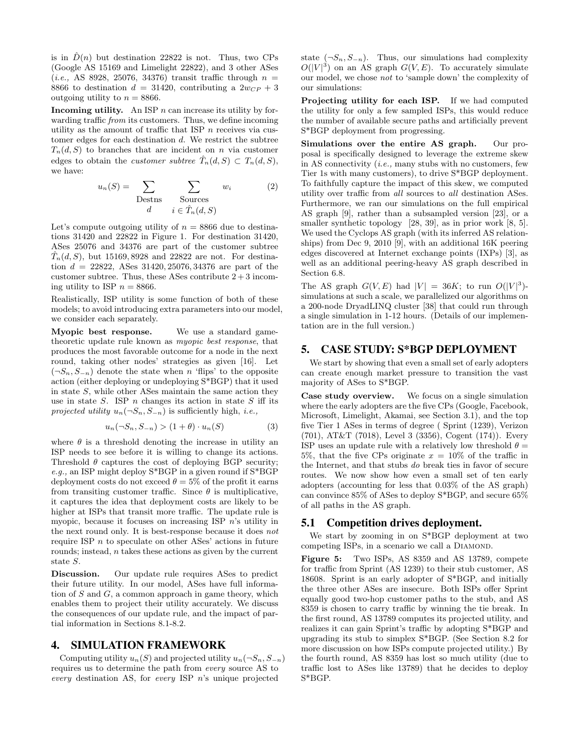is in  $\hat{D}(n)$  but destination 22822 is not. Thus, two CPs (Google AS 15169 and Limelight 22822), and 3 other ASes (*i.e.*, AS 8928, 25076, 34376) transit traffic through  $n =$ 8866 to destination  $d = 31420$ , contributing a  $2w_{CP} + 3$ outgoing utility to  $n = 8866$ .

**Incoming utility.** An ISP  $n$  can increase its utility by forwarding traffic from its customers. Thus, we define incoming utility as the amount of traffic that ISP  $n$  receives via customer edges for each destination d. We restrict the subtree  $T_n(d, S)$  to branches that are incident on n via customer edges to obtain the *customer subtree*  $\hat{T}_n(d, S) \subset T_n(d, S)$ , we have:

$$
u_n(S) = \sum_{\text{Destns}} \sum_{\substack{\text{Sources} \\ d \text{ } i \in \hat{T}_n(d, S)}} w_i \tag{2}
$$

Let's compute outgoing utility of  $n = 8866$  due to destinations 31420 and 22822 in Figure 1. For destination 31420, ASes 25076 and 34376 are part of the customer subtree  $\hat{T}_n(d, S)$ , but 15169, 8928 and 22822 are not. For destination  $d = 22822$ , ASes 31420, 25076, 34376 are part of the customer subtree. Thus, these ASes contribute  $2+3$  incoming utility to ISP  $n = 8866$ .

Realistically, ISP utility is some function of both of these models; to avoid introducing extra parameters into our model, we consider each separately.

Myopic best response. We use a standard gametheoretic update rule known as myopic best response, that produces the most favorable outcome for a node in the next round, taking other nodes' strategies as given [16]. Let  $(\neg S_n, S_{-n})$  denote the state when n 'flips' to the opposite action (either deploying or undeploying S\*BGP) that it used in state S, while other ASes maintain the same action they use in state S. ISP  $n$  changes its action in state S iff its projected utility  $u_n(\neg S_n, S_{-n})$  is sufficiently high, *i.e.*,

$$
u_n(\neg S_n, S_{-n}) > (1+\theta) \cdot u_n(S) \tag{3}
$$

where  $\theta$  is a threshold denoting the increase in utility an ISP needs to see before it is willing to change its actions. Threshold  $\theta$  captures the cost of deploying BGP security; e.g., an ISP might deploy S\*BGP in a given round if S\*BGP deployment costs do not exceed  $\theta = 5\%$  of the profit it earns from transiting customer traffic. Since  $\theta$  is multiplicative, it captures the idea that deployment costs are likely to be higher at ISPs that transit more traffic. The update rule is myopic, because it focuses on increasing ISP n's utility in the next round only. It is best-response because it does not require ISP  $n$  to speculate on other ASes' actions in future rounds; instead, n takes these actions as given by the current state S.

Discussion. Our update rule requires ASes to predict their future utility. In our model, ASes have full information of  $S$  and  $G$ , a common approach in game theory, which enables them to project their utility accurately. We discuss the consequences of our update rule, and the impact of partial information in Sections 8.1-8.2.

#### 4. SIMULATION FRAMEWORK

Computing utility  $u_n(S)$  and projected utility  $u_n(\neg S_n, S_{-n})$ requires us to determine the path from every source AS to every destination AS, for every ISP  $n$ 's unique projected

state  $(\neg S_n, S_{-n})$ . Thus, our simulations had complexity  $O(|V|^3)$  on an AS graph  $G(V, E)$ . To accurately simulate our model, we chose not to 'sample down' the complexity of our simulations:

Projecting utility for each ISP. If we had computed the utility for only a few sampled ISPs, this would reduce the number of available secure paths and artificially prevent S\*BGP deployment from progressing.

Simulations over the entire AS graph. Our proposal is specifically designed to leverage the extreme skew in AS connectivity  $(i.e.,$  many stubs with no customers, few Tier 1s with many customers), to drive S\*BGP deployment. To faithfully capture the impact of this skew, we computed utility over traffic from all sources to all destination ASes. Furthermore, we ran our simulations on the full empirical AS graph [9], rather than a subsampled version [23], or a smaller synthetic topology [28, 39], as in prior work [8, 5]. We used the Cyclops AS graph (with its inferred AS relationships) from Dec 9, 2010 [9], with an additional 16K peering edges discovered at Internet exchange points (IXPs) [3], as well as an additional peering-heavy AS graph described in Section 6.8.

The AS graph  $G(V, E)$  had  $|V| = 36K$ ; to run  $O(|V|^3)$ simulations at such a scale, we parallelized our algorithms on a 200-node DryadLINQ cluster [38] that could run through a single simulation in 1-12 hours. (Details of our implementation are in the full version.)

# 5. CASE STUDY: S\*BGP DEPLOYMENT

We start by showing that even a small set of early adopters can create enough market pressure to transition the vast majority of ASes to S\*BGP.

Case study overview. We focus on a single simulation where the early adopters are the five CPs (Google, Facebook, Microsoft, Limelight, Akamai, see Section 3.1), and the top five Tier 1 ASes in terms of degree ( Sprint (1239), Verizon (701), AT&T (7018), Level 3 (3356), Cogent (174)). Every ISP uses an update rule with a relatively low threshold  $\theta =$ 5%, that the five CPs originate  $x = 10\%$  of the traffic in the Internet, and that stubs do break ties in favor of secure routes. We now show how even a small set of ten early adopters (accounting for less that 0.03% of the AS graph) can convince 85% of ASes to deploy S\*BGP, and secure 65% of all paths in the AS graph.

#### 5.1 Competition drives deployment.

We start by zooming in on S\*BGP deployment at two competing ISPs, in a scenario we call a DIAMOND.

Figure 5: Two ISPs, AS 8359 and AS 13789, compete for traffic from Sprint (AS 1239) to their stub customer, AS 18608. Sprint is an early adopter of S\*BGP, and initially the three other ASes are insecure. Both ISPs offer Sprint equally good two-hop customer paths to the stub, and AS 8359 is chosen to carry traffic by winning the tie break. In the first round, AS 13789 computes its projected utility, and realizes it can gain Sprint's traffic by adopting S\*BGP and upgrading its stub to simplex S\*BGP. (See Section 8.2 for more discussion on how ISPs compute projected utility.) By the fourth round, AS 8359 has lost so much utility (due to traffic lost to ASes like 13789) that he decides to deploy S\*BGP.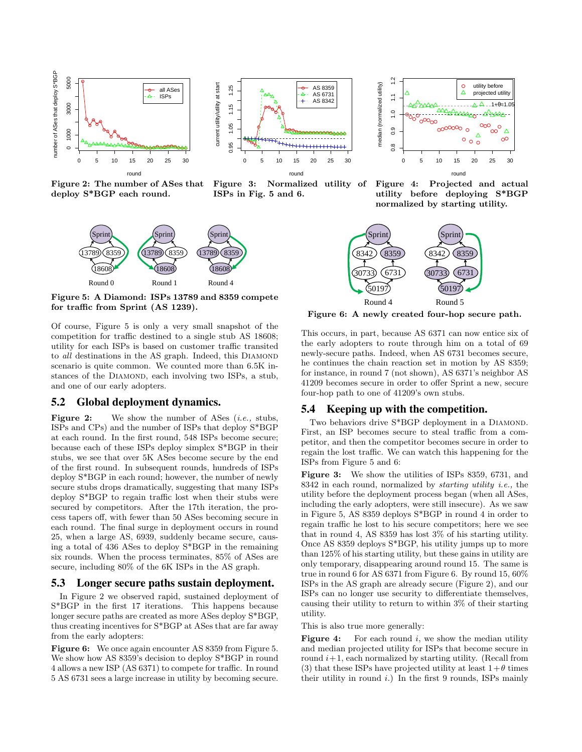

Figure 2: The number of ASes that deploy S\*BGP each round.



Figure 3: Normalized utility of ISPs in Fig. 5 and 6.



Figure 4: Projected and actual utility before deploying S\*BGP normalized by starting utility.



Figure 5: A Diamond: ISPs 13789 and 8359 compete for traffic from Sprint (AS 1239).

Of course, Figure 5 is only a very small snapshot of the competition for traffic destined to a single stub AS 18608; utility for each ISPs is based on customer traffic transited to all destinations in the AS graph. Indeed, this DIAMOND scenario is quite common. We counted more than 6.5K instances of the DIAMOND, each involving two ISPs, a stub, and one of our early adopters.

## 5.2 Global deployment dynamics.

**Figure 2:** We show the number of ASes  $(i.e.,$  stubs, ISPs and CPs) and the number of ISPs that deploy S\*BGP at each round. In the first round, 548 ISPs become secure; because each of these ISPs deploy simplex S\*BGP in their stubs, we see that over 5K ASes become secure by the end of the first round. In subsequent rounds, hundreds of ISPs deploy S\*BGP in each round; however, the number of newly secure stubs drops dramatically, suggesting that many ISPs deploy S\*BGP to regain traffic lost when their stubs were secured by competitors. After the 17th iteration, the process tapers off, with fewer than 50 ASes becoming secure in each round. The final surge in deployment occurs in round 25, when a large AS, 6939, suddenly became secure, causing a total of 436 ASes to deploy S\*BGP in the remaining six rounds. When the process terminates, 85% of ASes are secure, including 80% of the 6K ISPs in the AS graph.

#### 5.3 Longer secure paths sustain deployment.

In Figure 2 we observed rapid, sustained deployment of S\*BGP in the first 17 iterations. This happens because longer secure paths are created as more ASes deploy S\*BGP, thus creating incentives for S\*BGP at ASes that are far away from the early adopters:

Figure 6: We once again encounter AS 8359 from Figure 5. We show how AS 8359's decision to deploy S\*BGP in round 4 allows a new ISP (AS 6371) to compete for traffic. In round 5 AS 6731 sees a large increase in utility by becoming secure.



Figure 6: A newly created four-hop secure path.

This occurs, in part, because AS 6371 can now entice six of the early adopters to route through him on a total of 69 newly-secure paths. Indeed, when AS 6731 becomes secure, he continues the chain reaction set in motion by AS 8359; for instance, in round 7 (not shown), AS 6371's neighbor AS 41209 becomes secure in order to offer Sprint a new, secure four-hop path to one of 41209's own stubs.

# 5.4 Keeping up with the competition.

Two behaviors drive  $S*BGP$  deployment in a DIAMOND. First, an ISP becomes secure to steal traffic from a competitor, and then the competitor becomes secure in order to regain the lost traffic. We can watch this happening for the ISPs from Figure 5 and 6:

Figure 3: We show the utilities of ISPs 8359, 6731, and 8342 in each round, normalized by *starting utility i.e.*, the utility before the deployment process began (when all ASes, including the early adopters, were still insecure). As we saw in Figure 5, AS 8359 deploys S\*BGP in round 4 in order to regain traffic he lost to his secure competitors; here we see that in round 4, AS 8359 has lost 3% of his starting utility. Once AS 8359 deploys S\*BGP, his utility jumps up to more than 125% of his starting utility, but these gains in utility are only temporary, disappearing around round 15. The same is true in round 6 for AS 6371 from Figure 6. By round 15, 60% ISPs in the AS graph are already secure (Figure 2), and our ISPs can no longer use security to differentiate themselves, causing their utility to return to within 3% of their starting utility.

This is also true more generally:

**Figure 4:** For each round  $i$ , we show the median utility and median projected utility for ISPs that become secure in round  $i+1$ , each normalized by starting utility. (Recall from (3) that these ISPs have projected utility at least  $1+\theta$  times their utility in round  $i$ .) In the first 9 rounds, ISPs mainly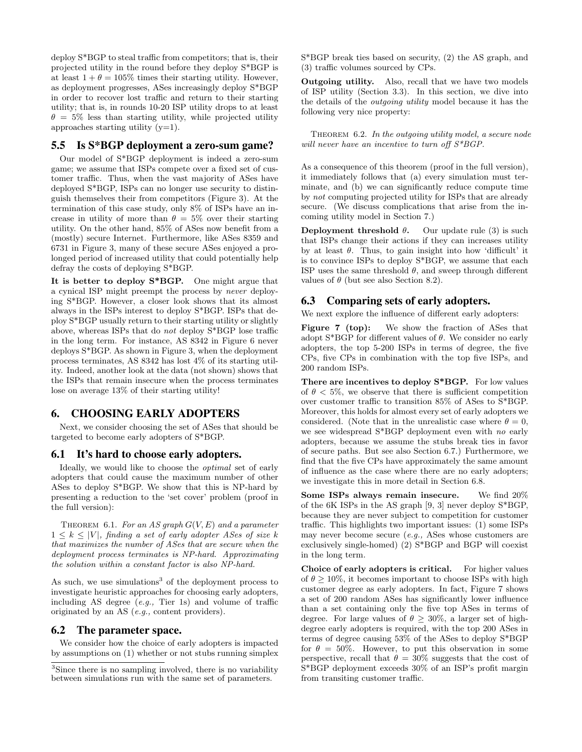deploy S\*BGP to steal traffic from competitors; that is, their projected utility in the round before they deploy S\*BGP is at least  $1 + \theta = 105\%$  times their starting utility. However, as deployment progresses, ASes increasingly deploy S\*BGP in order to recover lost traffic and return to their starting utility; that is, in rounds 10-20 ISP utility drops to at least  $\theta = 5\%$  less than starting utility, while projected utility approaches starting utility  $(y=1)$ .

## 5.5 Is S\*BGP deployment a zero-sum game?

Our model of S\*BGP deployment is indeed a zero-sum game; we assume that ISPs compete over a fixed set of customer traffic. Thus, when the vast majority of ASes have deployed S\*BGP, ISPs can no longer use security to distinguish themselves their from competitors (Figure 3). At the termination of this case study, only 8% of ISPs have an increase in utility of more than  $\theta = 5\%$  over their starting utility. On the other hand, 85% of ASes now benefit from a (mostly) secure Internet. Furthermore, like ASes 8359 and 6731 in Figure 3, many of these secure ASes enjoyed a prolonged period of increased utility that could potentially help defray the costs of deploying S\*BGP.

It is better to deploy S\*BGP. One might argue that a cynical ISP might preempt the process by never deploying S\*BGP. However, a closer look shows that its almost always in the ISPs interest to deploy S\*BGP. ISPs that deploy S\*BGP usually return to their starting utility or slightly above, whereas ISPs that do not deploy S\*BGP lose traffic in the long term. For instance, AS 8342 in Figure 6 never deploys S\*BGP. As shown in Figure 3, when the deployment process terminates, AS 8342 has lost 4% of its starting utility. Indeed, another look at the data (not shown) shows that the ISPs that remain insecure when the process terminates lose on average 13% of their starting utility!

## 6. CHOOSING EARLY ADOPTERS

Next, we consider choosing the set of ASes that should be targeted to become early adopters of S\*BGP.

#### 6.1 It's hard to choose early adopters.

Ideally, we would like to choose the optimal set of early adopters that could cause the maximum number of other ASes to deploy S\*BGP. We show that this is NP-hard by presenting a reduction to the 'set cover' problem (proof in the full version):

THEOREM 6.1. For an AS graph  $G(V, E)$  and a parameter  $1 \leq k \leq |V|$ , finding a set of early adopter ASes of size k that maximizes the number of ASes that are secure when the deployment process terminates is NP-hard. Approximating the solution within a constant factor is also NP-hard.

As such, we use simulations<sup>3</sup> of the deployment process to investigate heuristic approaches for choosing early adopters, including AS degree  $(e.g.,$  Tier 1s) and volume of traffic originated by an AS (e.g., content providers).

#### 6.2 The parameter space.

We consider how the choice of early adopters is impacted by assumptions on (1) whether or not stubs running simplex S\*BGP break ties based on security, (2) the AS graph, and (3) traffic volumes sourced by CPs.

Outgoing utility. Also, recall that we have two models of ISP utility (Section 3.3). In this section, we dive into the details of the outgoing utility model because it has the following very nice property:

THEOREM 6.2. In the outgoing utility model, a secure node will never have an incentive to turn off S\*BGP.

As a consequence of this theorem (proof in the full version), it immediately follows that (a) every simulation must terminate, and (b) we can significantly reduce compute time by not computing projected utility for ISPs that are already secure. (We discuss complications that arise from the incoming utility model in Section 7.)

**Deployment threshold**  $\theta$ **.** Our update rule (3) is such that ISPs change their actions if they can increases utility by at least  $\theta$ . Thus, to gain insight into how 'difficult' it is to convince ISPs to deploy S\*BGP, we assume that each ISP uses the same threshold  $\theta$ , and sweep through different values of  $\theta$  (but see also Section 8.2).

#### 6.3 Comparing sets of early adopters.

We next explore the influence of different early adopters:

Figure 7 (top): We show the fraction of ASes that adopt  $S*BGP$  for different values of  $\theta$ . We consider no early adopters, the top 5-200 ISPs in terms of degree, the five CPs, five CPs in combination with the top five ISPs, and 200 random ISPs.

There are incentives to deploy S\*BGP. For low values of  $\theta < 5\%$ , we observe that there is sufficient competition over customer traffic to transition 85% of ASes to S\*BGP. Moreover, this holds for almost every set of early adopters we considered. (Note that in the unrealistic case where  $\theta = 0$ , we see widespread S\*BGP deployment even with no early adopters, because we assume the stubs break ties in favor of secure paths. But see also Section 6.7.) Furthermore, we find that the five CPs have approximately the same amount of influence as the case where there are no early adopters; we investigate this in more detail in Section 6.8.

Some ISPs always remain insecure. We find  $20\%$ of the 6K ISPs in the AS graph [9, 3] never deploy S\*BGP, because they are never subject to competition for customer traffic. This highlights two important issues: (1) some ISPs may never become secure  $(e.g., A\text{Ses whose customers are})$ exclusively single-homed) (2) S\*BGP and BGP will coexist in the long term.

Choice of early adopters is critical. For higher values of  $\theta > 10\%$ , it becomes important to choose ISPs with high customer degree as early adopters. In fact, Figure 7 shows a set of 200 random ASes has significantly lower influence than a set containing only the five top ASes in terms of degree. For large values of  $\theta \geq 30\%$ , a larger set of highdegree early adopters is required, with the top 200 ASes in terms of degree causing 53% of the ASes to deploy S\*BGP for  $\theta = 50\%$ . However, to put this observation in some perspective, recall that  $\theta = 30\%$  suggests that the cost of S\*BGP deployment exceeds 30% of an ISP's profit margin from transiting customer traffic.

<sup>&</sup>lt;sup>3</sup>Since there is no sampling involved, there is no variability between simulations run with the same set of parameters.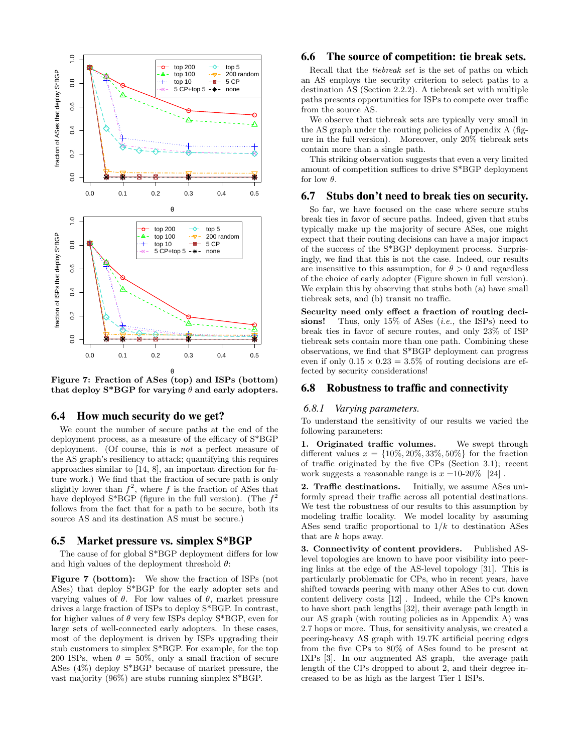

Figure 7: Fraction of ASes (top) and ISPs (bottom) that deploy  $S*BGP$  for varying  $\theta$  and early adopters.

#### 6.4 How much security do we get?

We count the number of secure paths at the end of the deployment process, as a measure of the efficacy of S\*BGP deployment. (Of course, this is not a perfect measure of the AS graph's resiliency to attack; quantifying this requires approaches similar to [14, 8], an important direction for future work.) We find that the fraction of secure path is only slightly lower than  $f^2$ , where f is the fraction of ASes that have deployed  $S*BGP$  (figure in the full version). (The  $f^2$ follows from the fact that for a path to be secure, both its source AS and its destination AS must be secure.)

#### 6.5 Market pressure vs. simplex S\*BGP

The cause of for global S\*BGP deployment differs for low and high values of the deployment threshold  $\theta$ :

Figure 7 (bottom): We show the fraction of ISPs (not ASes) that deploy S\*BGP for the early adopter sets and varying values of  $\theta$ . For low values of  $\theta$ , market pressure drives a large fraction of ISPs to deploy S\*BGP. In contrast, for higher values of  $\theta$  very few ISPs deploy S\*BGP, even for large sets of well-connected early adopters. In these cases, most of the deployment is driven by ISPs upgrading their stub customers to simplex S\*BGP. For example, for the top 200 ISPs, when  $\theta = 50\%$ , only a small fraction of secure ASes (4%) deploy S\*BGP because of market pressure, the vast majority (96%) are stubs running simplex S\*BGP.

#### 6.6 The source of competition: tie break sets.

Recall that the *tiebreak set* is the set of paths on which an AS employs the security criterion to select paths to a destination AS (Section 2.2.2). A tiebreak set with multiple paths presents opportunities for ISPs to compete over traffic from the source AS.

We observe that tiebreak sets are typically very small in the AS graph under the routing policies of Appendix A (figure in the full version). Moreover, only 20% tiebreak sets contain more than a single path.

This striking observation suggests that even a very limited amount of competition suffices to drive S\*BGP deployment for low  $\theta$ .

#### 6.7 Stubs don't need to break ties on security.

So far, we have focused on the case where secure stubs break ties in favor of secure paths. Indeed, given that stubs typically make up the majority of secure ASes, one might expect that their routing decisions can have a major impact of the success of the S\*BGP deployment process. Surprisingly, we find that this is not the case. Indeed, our results are insensitive to this assumption, for  $\theta > 0$  and regardless of the choice of early adopter (Figure shown in full version). We explain this by observing that stubs both (a) have small tiebreak sets, and (b) transit no traffic.

Security need only effect a fraction of routing decisions! Thus, only  $15\%$  of ASes (*i.e.*, the ISPs) need to break ties in favor of secure routes, and only 23% of ISP tiebreak sets contain more than one path. Combining these observations, we find that S\*BGP deployment can progress even if only  $0.15 \times 0.23 = 3.5\%$  of routing decisions are effected by security considerations!

#### 6.8 Robustness to traffic and connectivity

#### *6.8.1 Varying parameters.*

To understand the sensitivity of our results we varied the following parameters:

1. Originated traffic volumes. We swept through different values  $x = \{10\%, 20\%, 33\%, 50\%\}\$  for the fraction of traffic originated by the five CPs (Section 3.1); recent work suggests a reasonable range is  $x = 10-20\%$  [24].

2. Traffic destinations. Initially, we assume ASes uniformly spread their traffic across all potential destinations. We test the robustness of our results to this assumption by modeling traffic locality. We model locality by assuming ASes send traffic proportional to  $1/k$  to destination ASes that are k hops away.

3. Connectivity of content providers. Published ASlevel topologies are known to have poor visibility into peering links at the edge of the AS-level topology [31]. This is particularly problematic for CPs, who in recent years, have shifted towards peering with many other ASes to cut down content delivery costs [12] . Indeed, while the CPs known to have short path lengths [32], their average path length in our AS graph (with routing policies as in Appendix A) was 2.7 hops or more. Thus, for sensitivity analysis, we created a peering-heavy AS graph with 19.7K artificial peering edges from the five CPs to 80% of ASes found to be present at IXPs [3]. In our augmented AS graph, the average path length of the CPs dropped to about 2, and their degree increased to be as high as the largest Tier 1 ISPs.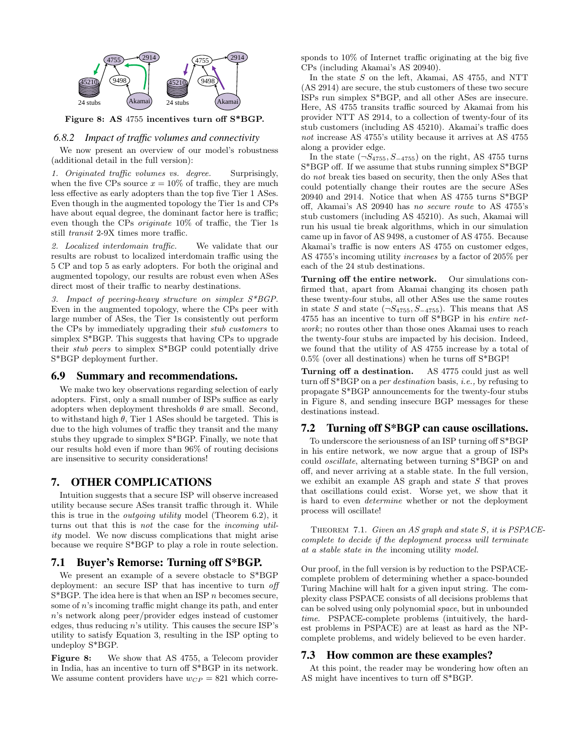

Figure 8: AS 4755 incentives turn off S\*BGP.

#### *6.8.2 Impact of traffic volumes and connectivity*

We now present an overview of our model's robustness (additional detail in the full version):

1. Originated traffic volumes vs. degree. Surprisingly, when the five CPs source  $x = 10\%$  of traffic, they are much less effective as early adopters than the top five Tier 1 ASes. Even though in the augmented topology the Tier 1s and CPs have about equal degree, the dominant factor here is traffic; even though the CPs originate 10% of traffic, the Tier 1s still transit 2-9X times more traffic.

2. Localized interdomain traffic. We validate that our results are robust to localized interdomain traffic using the 5 CP and top 5 as early adopters. For both the original and augmented topology, our results are robust even when ASes direct most of their traffic to nearby destinations.

3. Impact of peering-heavy structure on simplex S\*BGP. Even in the augmented topology, where the CPs peer with large number of ASes, the Tier 1s consistently out perform the CPs by immediately upgrading their stub customers to simplex S\*BGP. This suggests that having CPs to upgrade their stub peers to simplex S\*BGP could potentially drive S\*BGP deployment further.

## 6.9 Summary and recommendations.

We make two key observations regarding selection of early adopters. First, only a small number of ISPs suffice as early adopters when deployment thresholds  $\theta$  are small. Second, to withstand high  $\theta$ , Tier 1 ASes should be targeted. This is due to the high volumes of traffic they transit and the many stubs they upgrade to simplex S\*BGP. Finally, we note that our results hold even if more than 96% of routing decisions are insensitive to security considerations!

## 7. OTHER COMPLICATIONS

Intuition suggests that a secure ISP will observe increased utility because secure ASes transit traffic through it. While this is true in the outgoing utility model (Theorem 6.2), it turns out that this is not the case for the incoming utility model. We now discuss complications that might arise because we require S\*BGP to play a role in route selection.

### 7.1 Buyer's Remorse: Turning off S\*BGP.

We present an example of a severe obstacle to S\*BGP deployment: an secure ISP that has incentive to turn off  $S*BGP$ . The idea here is that when an ISP *n* becomes secure, some of  $n$ 's incoming traffic might change its path, and enter n's network along peer/provider edges instead of customer edges, thus reducing  $n$ 's utility. This causes the secure ISP's utility to satisfy Equation 3, resulting in the ISP opting to undeploy S\*BGP.

Figure 8: We show that AS 4755, a Telecom provider in India, has an incentive to turn off S\*BGP in its network. We assume content providers have  $w_{CP} = 821$  which corresponds to 10% of Internet traffic originating at the big five CPs (including Akamai's AS 20940).

In the state S on the left, Akamai, AS 4755, and NTT (AS 2914) are secure, the stub customers of these two secure ISPs run simplex S\*BGP, and all other ASes are insecure. Here, AS 4755 transits traffic sourced by Akamai from his provider NTT AS 2914, to a collection of twenty-four of its stub customers (including AS 45210). Akamai's traffic does not increase AS 4755's utility because it arrives at AS 4755 along a provider edge.

In the state  $(\neg S_{4755}, S_{-4755})$  on the right, AS 4755 turns S\*BGP off. If we assume that stubs running simplex S\*BGP do not break ties based on security, then the only ASes that could potentially change their routes are the secure ASes 20940 and 2914. Notice that when AS 4755 turns S\*BGP off, Akamai's AS 20940 has no secure route to AS 4755's stub customers (including AS 45210). As such, Akamai will run his usual tie break algorithms, which in our simulation came up in favor of AS 9498, a customer of AS 4755. Because Akamai's traffic is now enters AS 4755 on customer edges, AS 4755's incoming utility increases by a factor of 205% per each of the 24 stub destinations.

Turning off the entire network. Our simulations confirmed that, apart from Akamai changing its chosen path these twenty-four stubs, all other ASes use the same routes in state S and state  $(\neg S_{4755}, S_{-4755})$ . This means that AS 4755 has an incentive to turn off S\*BGP in his entire network; no routes other than those ones Akamai uses to reach the twenty-four stubs are impacted by his decision. Indeed, we found that the utility of AS 4755 increase by a total of 0.5% (over all destinations) when he turns off S\*BGP!

Turning off a destination. AS 4775 could just as well turn off S\*BGP on a per destination basis, i.e., by refusing to propagate S\*BGP announcements for the twenty-four stubs in Figure 8, and sending insecure BGP messages for these destinations instead.

# 7.2 Turning off S\*BGP can cause oscillations.

To underscore the seriousness of an ISP turning off S\*BGP in his entire network, we now argue that a group of ISPs could oscillate, alternating between turning S\*BGP on and off, and never arriving at a stable state. In the full version, we exhibit an example AS graph and state  $S$  that proves that oscillations could exist. Worse yet, we show that it is hard to even determine whether or not the deployment process will oscillate!

THEOREM 7.1. Given an AS graph and state  $S$ , it is PSPACEcomplete to decide if the deployment process will terminate at a stable state in the incoming utility model.

Our proof, in the full version is by reduction to the PSPACEcomplete problem of determining whether a space-bounded Turing Machine will halt for a given input string. The complexity class PSPACE consists of all decisions problems that can be solved using only polynomial space, but in unbounded time. PSPACE-complete problems (intuitively, the hardest problems in PSPACE) are at least as hard as the NPcomplete problems, and widely believed to be even harder.

#### 7.3 How common are these examples?

At this point, the reader may be wondering how often an AS might have incentives to turn off S\*BGP.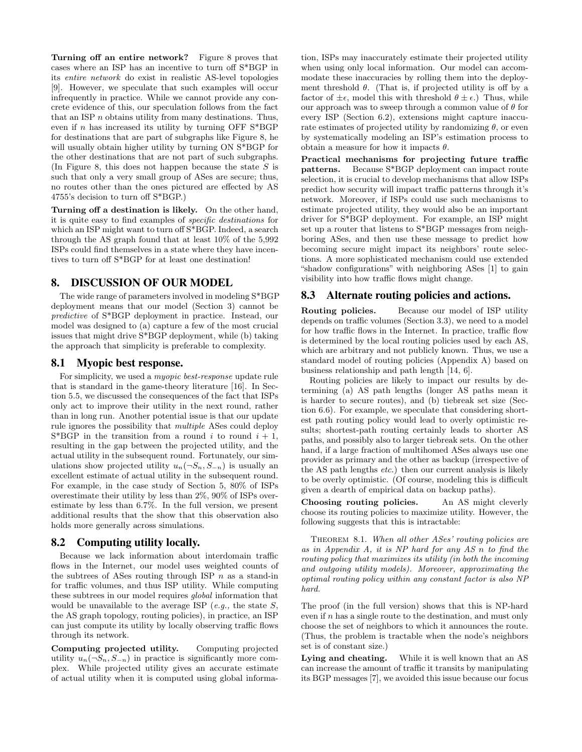Turning off an entire network? Figure 8 proves that cases where an ISP has an incentive to turn off S\*BGP in its entire network do exist in realistic AS-level topologies [9]. However, we speculate that such examples will occur infrequently in practice. While we cannot provide any concrete evidence of this, our speculation follows from the fact that an ISP n obtains utility from many destinations. Thus, even if n has increased its utility by turning OFF  $S*BGP$ for destinations that are part of subgraphs like Figure 8, he will usually obtain higher utility by turning ON S\*BGP for the other destinations that are not part of such subgraphs. (In Figure 8, this does not happen because the state  $S$  is such that only a very small group of ASes are secure; thus, no routes other than the ones pictured are effected by AS 4755's decision to turn off S\*BGP.)

Turning off a destination is likely. On the other hand, it is quite easy to find examples of specific destinations for which an ISP might want to turn off S\*BGP. Indeed, a search through the AS graph found that at least 10% of the 5,992 ISPs could find themselves in a state where they have incentives to turn off S\*BGP for at least one destination!

## 8. DISCUSSION OF OUR MODEL

The wide range of parameters involved in modeling S\*BGP deployment means that our model (Section 3) cannot be predictive of S\*BGP deployment in practice. Instead, our model was designed to (a) capture a few of the most crucial issues that might drive S\*BGP deployment, while (b) taking the approach that simplicity is preferable to complexity.

#### 8.1 Myopic best response.

For simplicity, we used a *myopic best-response* update rule that is standard in the game-theory literature [16]. In Section 5.5, we discussed the consequences of the fact that ISPs only act to improve their utility in the next round, rather than in long run. Another potential issue is that our update rule ignores the possibility that multiple ASes could deploy S\*BGP in the transition from a round i to round  $i + 1$ , resulting in the gap between the projected utility, and the actual utility in the subsequent round. Fortunately, our simulations show projected utility  $u_n(\neg S_n, S_{-n})$  is usually an excellent estimate of actual utility in the subsequent round. For example, in the case study of Section 5, 80% of ISPs overestimate their utility by less than 2%, 90% of ISPs overestimate by less than 6.7%. In the full version, we present additional results that the show that this observation also holds more generally across simulations.

## 8.2 Computing utility locally.

Because we lack information about interdomain traffic flows in the Internet, our model uses weighted counts of the subtrees of ASes routing through ISP  $n$  as a stand-in for traffic volumes, and thus ISP utility. While computing these subtrees in our model requires global information that would be unavailable to the average ISP  $(e.g., the state S,$ the AS graph topology, routing policies), in practice, an ISP can just compute its utility by locally observing traffic flows through its network.

Computing projected utility. Computing projected utility  $u_n(\neg S_n, S_{-n})$  in practice is significantly more complex. While projected utility gives an accurate estimate of actual utility when it is computed using global information, ISPs may inaccurately estimate their projected utility when using only local information. Our model can accommodate these inaccuracies by rolling them into the deployment threshold  $\theta$ . (That is, if projected utility is off by a factor of  $\pm \epsilon$ , model this with threshold  $\theta \pm \epsilon$ .) Thus, while our approach was to sweep through a common value of  $\theta$  for every ISP (Section 6.2), extensions might capture inaccurate estimates of projected utility by randomizing  $\theta$ , or even by systematically modeling an ISP's estimation process to obtain a measure for how it impacts  $\theta$ .

Practical mechanisms for projecting future traffic patterns. Because S\*BGP deployment can impact route selection, it is crucial to develop mechanisms that allow ISPs predict how security will impact traffic patterns through it's network. Moreover, if ISPs could use such mechanisms to estimate projected utility, they would also be an important driver for S\*BGP deployment. For example, an ISP might set up a router that listens to S\*BGP messages from neighboring ASes, and then use these message to predict how becoming secure might impact its neighbors' route selections. A more sophisticated mechanism could use extended "shadow configurations" with neighboring ASes [1] to gain visibility into how traffic flows might change.

#### 8.3 Alternate routing policies and actions.

Routing policies. Because our model of ISP utility depends on traffic volumes (Section 3.3), we need to a model for how traffic flows in the Internet. In practice, traffic flow is determined by the local routing policies used by each AS, which are arbitrary and not publicly known. Thus, we use a standard model of routing policies (Appendix A) based on business relationship and path length [14, 6].

Routing policies are likely to impact our results by determining (a) AS path lengths (longer AS paths mean it is harder to secure routes), and (b) tiebreak set size (Section 6.6). For example, we speculate that considering shortest path routing policy would lead to overly optimistic results; shortest-path routing certainly leads to shorter AS paths, and possibly also to larger tiebreak sets. On the other hand, if a large fraction of multihomed ASes always use one provider as primary and the other as backup (irrespective of the AS path lengths etc.) then our current analysis is likely to be overly optimistic. (Of course, modeling this is difficult given a dearth of empirical data on backup paths).

Choosing routing policies. An AS might cleverly choose its routing policies to maximize utility. However, the following suggests that this is intractable:

THEOREM 8.1. When all other ASes' routing policies are as in Appendix A, it is NP hard for any AS n to find the routing policy that maximizes its utility (in both the incoming and outgoing utility models). Moreover, approximating the optimal routing policy within any constant factor is also NP hard.

The proof (in the full version) shows that this is NP-hard even if  $n$  has a single route to the destination, and must only choose the set of neighbors to which it announces the route. (Thus, the problem is tractable when the node's neighbors set is of constant size.)

Lying and cheating. While it is well known that an AS can increase the amount of traffic it transits by manipulating its BGP messages [7], we avoided this issue because our focus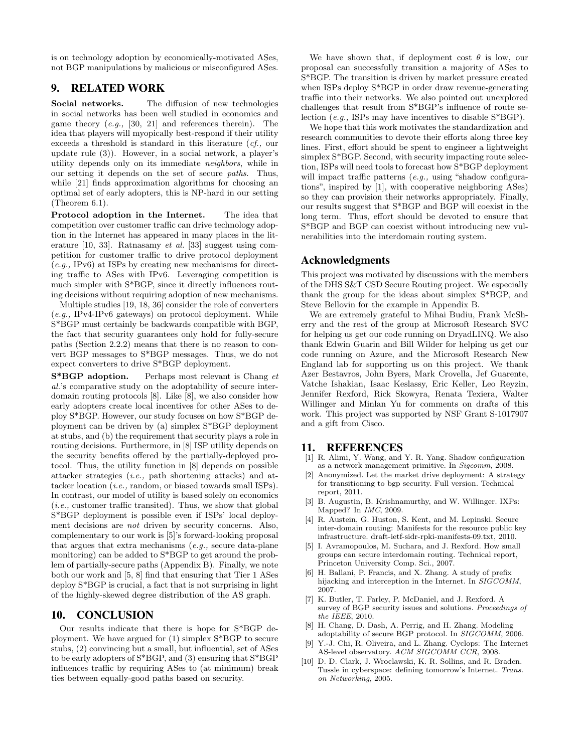is on technology adoption by economically-motivated ASes, not BGP manipulations by malicious or misconfigured ASes.

# 9. RELATED WORK

Social networks. The diffusion of new technologies in social networks has been well studied in economics and game theory  $(e,q, [30, 21]$  and references therein). The idea that players will myopically best-respond if their utility exceeds a threshold is standard in this literature (cf., our update rule (3)). However, in a social network, a player's utility depends only on its immediate neighbors, while in our setting it depends on the set of secure paths. Thus, while [21] finds approximation algorithms for choosing an optimal set of early adopters, this is NP-hard in our setting (Theorem 6.1).

Protocol adoption in the Internet. The idea that competition over customer traffic can drive technology adoption in the Internet has appeared in many places in the literature [10, 33]. Ratnasamy et al. [33] suggest using competition for customer traffic to drive protocol deployment (e.g., IPv6) at ISPs by creating new mechanisms for directing traffic to ASes with IPv6. Leveraging competition is much simpler with S\*BGP, since it directly influences routing decisions without requiring adoption of new mechanisms.

Multiple studies [19, 18, 36] consider the role of converters (e.g., IPv4-IPv6 gateways) on protocol deployment. While S\*BGP must certainly be backwards compatible with BGP, the fact that security guarantees only hold for fully-secure paths (Section 2.2.2) means that there is no reason to convert BGP messages to S\*BGP messages. Thus, we do not expect converters to drive S\*BGP deployment.

 $S*BGP$  adoption. Perhaps most relevant is Chang et al.'s comparative study on the adoptability of secure interdomain routing protocols [8]. Like [8], we also consider how early adopters create local incentives for other ASes to deploy S\*BGP. However, our study focuses on how S\*BGP deployment can be driven by (a) simplex S\*BGP deployment at stubs, and (b) the requirement that security plays a role in routing decisions. Furthermore, in [8] ISP utility depends on the security benefits offered by the partially-deployed protocol. Thus, the utility function in [8] depends on possible attacker strategies (i.e., path shortening attacks) and attacker location (i.e., random, or biased towards small ISPs). In contrast, our model of utility is based solely on economics (i.e., customer traffic transited). Thus, we show that global S\*BGP deployment is possible even if ISPs' local deployment decisions are *not* driven by security concerns. Also, complementary to our work is [5]'s forward-looking proposal that argues that extra mechanisms (e.g., secure data-plane monitoring) can be added to S\*BGP to get around the problem of partially-secure paths (Appendix B). Finally, we note both our work and [5, 8] find that ensuring that Tier 1 ASes deploy S\*BGP is crucial, a fact that is not surprising in light of the highly-skewed degree distribution of the AS graph.

#### 10. CONCLUSION

Our results indicate that there is hope for S\*BGP deployment. We have argued for (1) simplex S\*BGP to secure stubs, (2) convincing but a small, but influential, set of ASes to be early adopters of S\*BGP, and (3) ensuring that S\*BGP influences traffic by requiring ASes to (at minimum) break ties between equally-good paths based on security.

We have shown that, if deployment cost  $\theta$  is low, our proposal can successfully transition a majority of ASes to S\*BGP. The transition is driven by market pressure created when ISPs deploy S\*BGP in order draw revenue-generating traffic into their networks. We also pointed out unexplored challenges that result from S\*BGP's influence of route selection (e.g., ISPs may have incentives to disable S\*BGP).

We hope that this work motivates the standardization and research communities to devote their efforts along three key lines. First, effort should be spent to engineer a lightweight simplex S\*BGP. Second, with security impacting route selection, ISPs will need tools to forecast how S\*BGP deployment will impact traffic patterns (e.g., using "shadow configurations", inspired by [1], with cooperative neighboring ASes) so they can provision their networks appropriately. Finally, our results suggest that S\*BGP and BGP will coexist in the long term. Thus, effort should be devoted to ensure that S\*BGP and BGP can coexist without introducing new vulnerabilities into the interdomain routing system.

#### Acknowledgments

This project was motivated by discussions with the members of the DHS S&T CSD Secure Routing project. We especially thank the group for the ideas about simplex S\*BGP, and Steve Bellovin for the example in Appendix B.

We are extremely grateful to Mihai Budiu, Frank McSherry and the rest of the group at Microsoft Research SVC for helping us get our code running on DryadLINQ. We also thank Edwin Guarin and Bill Wilder for helping us get our code running on Azure, and the Microsoft Research New England lab for supporting us on this project. We thank Azer Bestavros, John Byers, Mark Crovella, Jef Guarente, Vatche Ishakian, Isaac Keslassy, Eric Keller, Leo Reyzin, Jennifer Rexford, Rick Skowyra, Renata Texiera, Walter Willinger and Minlan Yu for comments on drafts of this work. This project was supported by NSF Grant S-1017907 and a gift from Cisco.

#### 11. REFERENCES

- [1] R. Alimi, Y. Wang, and Y. R. Yang. Shadow configuration as a network management primitive. In Sigcomm, 2008.
- [2] Anonymized. Let the market drive deployment: A strategy for transitioning to bgp security. Full version. Technical report, 2011.
- [3] B. Augustin, B. Krishnamurthy, and W. Willinger. IXPs: Mapped? In IMC, 2009.
- [4] R. Austein, G. Huston, S. Kent, and M. Lepinski. Secure inter-domain routing: Manifests for the resource public key infrastructure. draft-ietf-sidr-rpki-manifests-09.txt, 2010.
- [5] I. Avramopoulos, M. Suchara, and J. Rexford. How small groups can secure interdomain routing. Technical report, Princeton University Comp. Sci., 2007.
- [6] H. Ballani, P. Francis, and X. Zhang. A study of prefix hijacking and interception in the Internet. In SIGCOMM, 2007.
- [7] K. Butler, T. Farley, P. McDaniel, and J. Rexford. A survey of BGP security issues and solutions. Proceedings of the IEEE, 2010.
- [8] H. Chang, D. Dash, A. Perrig, and H. Zhang. Modeling adoptability of secure BGP protocol. In SIGCOMM, 2006.
- [9] Y.-J. Chi, R. Oliveira, and L. Zhang. Cyclops: The Internet AS-level observatory. ACM SIGCOMM CCR, 2008.
- [10] D. D. Clark, J. Wroclawski, K. R. Sollins, and R. Braden. Tussle in cyberspace: defining tomorrow's Internet. Trans. on Networking, 2005.